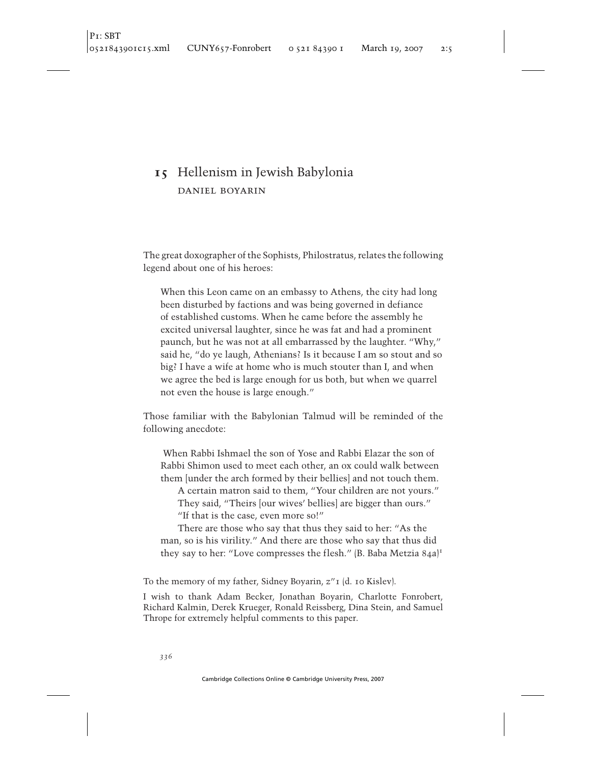# **15** Hellenism in Jewish Babylonia daniel boyarin

The great doxographer of the Sophists, Philostratus, relates the following legend about one of his heroes:

When this Leon came on an embassy to Athens, the city had long been disturbed by factions and was being governed in defiance of established customs. When he came before the assembly he excited universal laughter, since he was fat and had a prominent paunch, but he was not at all embarrassed by the laughter. "Why," said he, "do ye laugh, Athenians? Is it because I am so stout and so big? I have a wife at home who is much stouter than I, and when we agree the bed is large enough for us both, but when we quarrel not even the house is large enough."

Those familiar with the Babylonian Talmud will be reminded of the following anecdote:

When Rabbi Ishmael the son of Yose and Rabbi Elazar the son of Rabbi Shimon used to meet each other, an ox could walk between them [under the arch formed by their bellies] and not touch them. A certain matron said to them, "Your children are not yours." They said, "Theirs [our wives' bellies] are bigger than ours."

"If that is the case, even more so!"

There are those who say that thus they said to her: "As the man, so is his virility." And there are those who say that thus did they say to her: "Love compresses the flesh." (B. Baba Metzia 84a)<sup>1</sup>

To the memory of my father, Sidney Boyarin, z"1 (d. 10 Kislev).

I wish to thank Adam Becker, Jonathan Boyarin, Charlotte Fonrobert, Richard Kalmin, Derek Krueger, Ronald Reissberg, Dina Stein, and Samuel Thrope for extremely helpful comments to this paper.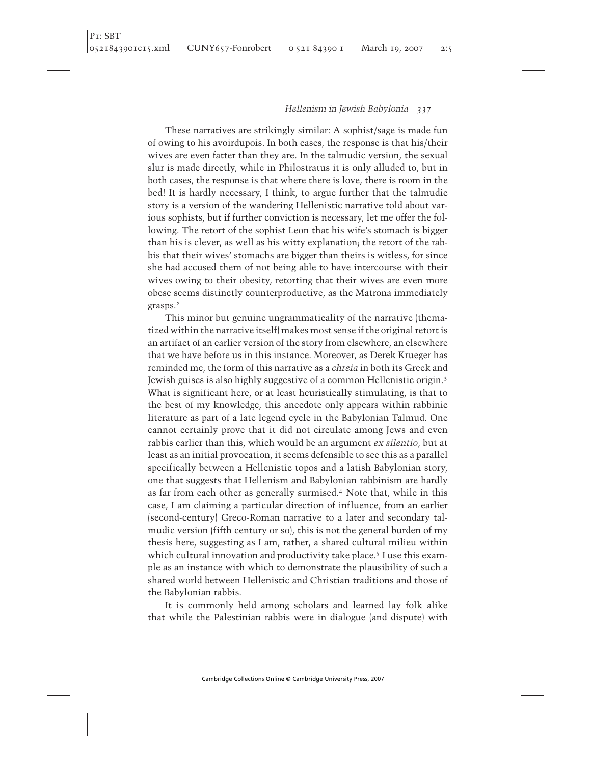These narratives are strikingly similar: A sophist/sage is made fun of owing to his avoirdupois. In both cases, the response is that his/their wives are even fatter than they are. In the talmudic version, the sexual slur is made directly, while in Philostratus it is only alluded to, but in both cases, the response is that where there is love, there is room in the bed! It is hardly necessary, I think, to argue further that the talmudic story is a version of the wandering Hellenistic narrative told about various sophists, but if further conviction is necessary, let me offer the following. The retort of the sophist Leon that his wife's stomach is bigger than his is clever, as well as his witty explanation; the retort of the rabbis that their wives' stomachs are bigger than theirs is witless, for since she had accused them of not being able to have intercourse with their wives owing to their obesity, retorting that their wives are even more obese seems distinctly counterproductive, as the Matrona immediately grasps.<sup>2</sup>

This minor but genuine ungrammaticality of the narrative (thematized within the narrative itself) makes most sense if the original retort is an artifact of an earlier version of the story from elsewhere, an elsewhere that we have before us in this instance. Moreover, as Derek Krueger has reminded me, the form of this narrative as a *chreia* in both its Greek and Jewish guises is also highly suggestive of a common Hellenistic origin.<sup>3</sup> What is significant here, or at least heuristically stimulating, is that to the best of my knowledge, this anecdote only appears within rabbinic literature as part of a late legend cycle in the Babylonian Talmud. One cannot certainly prove that it did not circulate among Jews and even rabbis earlier than this, which would be an argument *ex silentio*, but at least as an initial provocation, it seems defensible to see this as a parallel specifically between a Hellenistic topos and a latish Babylonian story, one that suggests that Hellenism and Babylonian rabbinism are hardly as far from each other as generally surmised.<sup>4</sup> Note that, while in this case, I am claiming a particular direction of influence, from an earlier (second-century) Greco-Roman narrative to a later and secondary talmudic version (fifth century or so), this is not the general burden of my thesis here, suggesting as I am, rather, a shared cultural milieu within which cultural innovation and productivity take place.<sup>5</sup> I use this example as an instance with which to demonstrate the plausibility of such a shared world between Hellenistic and Christian traditions and those of the Babylonian rabbis.

It is commonly held among scholars and learned lay folk alike that while the Palestinian rabbis were in dialogue (and dispute) with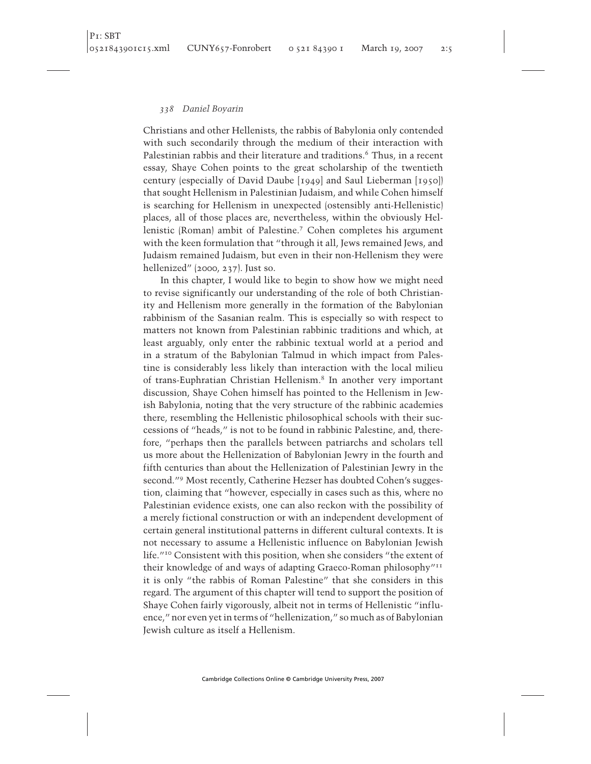Christians and other Hellenists, the rabbis of Babylonia only contended with such secondarily through the medium of their interaction with Palestinian rabbis and their literature and traditions.<sup>6</sup> Thus, in a recent essay, Shaye Cohen points to the great scholarship of the twentieth century (especially of David Daube [1949] and Saul Lieberman [1950]) that sought Hellenism in Palestinian Judaism, and while Cohen himself is searching for Hellenism in unexpected (ostensibly anti-Hellenistic) places, all of those places are, nevertheless, within the obviously Hellenistic (Roman) ambit of Palestine.<sup>7</sup> Cohen completes his argument with the keen formulation that "through it all, Jews remained Jews, and Judaism remained Judaism, but even in their non-Hellenism they were hellenized" (2000, 237). Just so.

In this chapter, I would like to begin to show how we might need to revise significantly our understanding of the role of both Christianity and Hellenism more generally in the formation of the Babylonian rabbinism of the Sasanian realm. This is especially so with respect to matters not known from Palestinian rabbinic traditions and which, at least arguably, only enter the rabbinic textual world at a period and in a stratum of the Babylonian Talmud in which impact from Palestine is considerably less likely than interaction with the local milieu of trans-Euphratian Christian Hellenism.<sup>8</sup> In another very important discussion, Shaye Cohen himself has pointed to the Hellenism in Jewish Babylonia, noting that the very structure of the rabbinic academies there, resembling the Hellenistic philosophical schools with their successions of "heads," is not to be found in rabbinic Palestine, and, therefore, "perhaps then the parallels between patriarchs and scholars tell us more about the Hellenization of Babylonian Jewry in the fourth and fifth centuries than about the Hellenization of Palestinian Jewry in the second."<sup>9</sup> Most recently, Catherine Hezser has doubted Cohen's suggestion, claiming that "however, especially in cases such as this, where no Palestinian evidence exists, one can also reckon with the possibility of a merely fictional construction or with an independent development of certain general institutional patterns in different cultural contexts. It is not necessary to assume a Hellenistic influence on Babylonian Jewish life."<sup>10</sup> Consistent with this position, when she considers "the extent of their knowledge of and ways of adapting Graeco-Roman philosophy"<sup>11</sup> it is only "the rabbis of Roman Palestine" that she considers in this regard. The argument of this chapter will tend to support the position of Shaye Cohen fairly vigorously, albeit not in terms of Hellenistic "influence," nor even yet in terms of "hellenization," so much as of Babylonian Jewish culture as itself a Hellenism.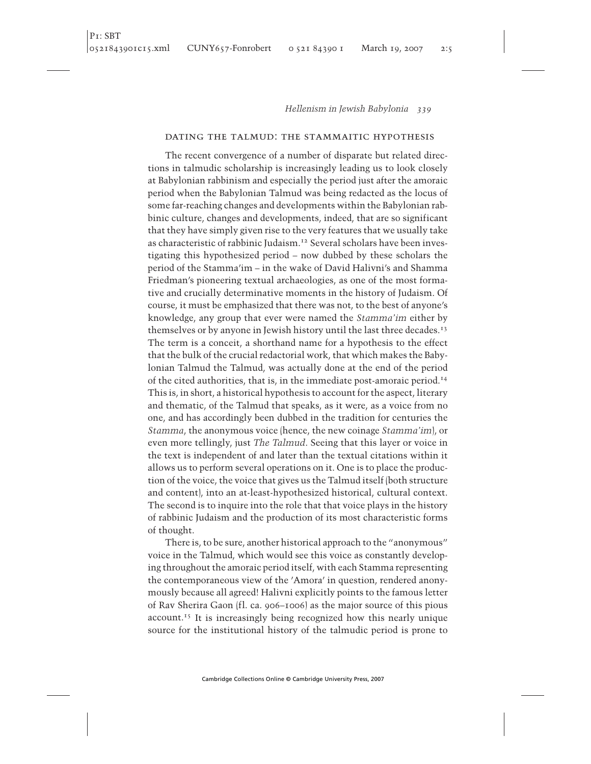# dating the talmud: the stammaitic hypothesis

The recent convergence of a number of disparate but related directions in talmudic scholarship is increasingly leading us to look closely at Babylonian rabbinism and especially the period just after the amoraic period when the Babylonian Talmud was being redacted as the locus of some far-reaching changes and developments within the Babylonian rabbinic culture, changes and developments, indeed, that are so significant that they have simply given rise to the very features that we usually take as characteristic of rabbinic Judaism.<sup>12</sup> Several scholars have been investigating this hypothesized period – now dubbed by these scholars the period of the Stamma'im – in the wake of David Halivni's and Shamma Friedman's pioneering textual archaeologies, as one of the most formative and crucially determinative moments in the history of Judaism. Of course, it must be emphasized that there was not, to the best of anyone's knowledge, any group that ever were named the *Stamma'im* either by themselves or by anyone in Jewish history until the last three decades.<sup>13</sup> The term is a conceit, a shorthand name for a hypothesis to the effect that the bulk of the crucial redactorial work, that which makes the Babylonian Talmud the Talmud, was actually done at the end of the period of the cited authorities, that is, in the immediate post-amoraic period.<sup>14</sup> This is, in short, a historical hypothesis to account for the aspect, literary and thematic, of the Talmud that speaks, as it were, as a voice from no one, and has accordingly been dubbed in the tradition for centuries the *Stamma*, the anonymous voice (hence, the new coinage *Stamma'im*), or even more tellingly, just *The Talmud*. Seeing that this layer or voice in the text is independent of and later than the textual citations within it allows us to perform several operations on it. One is to place the production of the voice, the voice that gives us the Talmud itself (both structure and content), into an at-least-hypothesized historical, cultural context. The second is to inquire into the role that that voice plays in the history of rabbinic Judaism and the production of its most characteristic forms of thought.

There is, to be sure, another historical approach to the "anonymous" voice in the Talmud, which would see this voice as constantly developing throughout the amoraic period itself, with each Stamma representing the contemporaneous view of the 'Amora' in question, rendered anonymously because all agreed! Halivni explicitly points to the famous letter of Rav Sherira Gaon (fl. ca. 906–1006) as the major source of this pious account.<sup>15</sup> It is increasingly being recognized how this nearly unique source for the institutional history of the talmudic period is prone to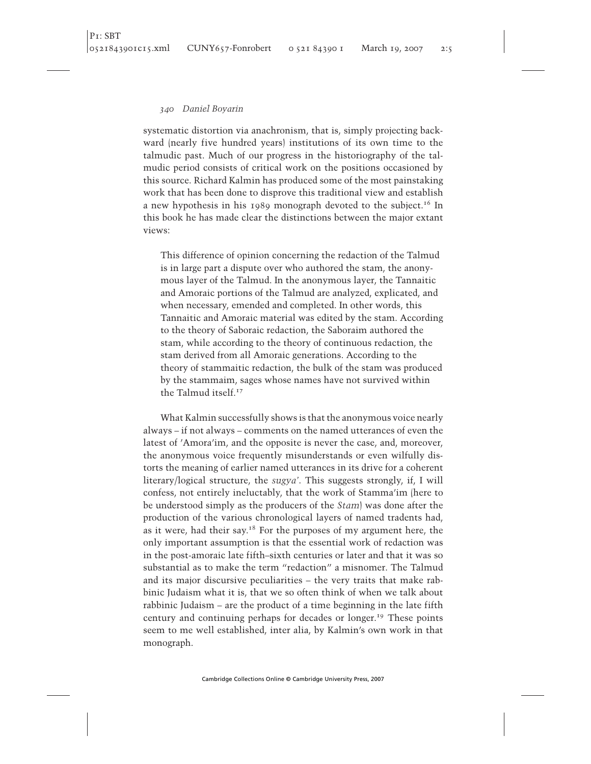systematic distortion via anachronism, that is, simply projecting backward (nearly five hundred years) institutions of its own time to the talmudic past. Much of our progress in the historiography of the talmudic period consists of critical work on the positions occasioned by this source. Richard Kalmin has produced some of the most painstaking work that has been done to disprove this traditional view and establish a new hypothesis in his 1989 monograph devoted to the subject.<sup>16</sup> In this book he has made clear the distinctions between the major extant views:

This difference of opinion concerning the redaction of the Talmud is in large part a dispute over who authored the stam, the anonymous layer of the Talmud. In the anonymous layer, the Tannaitic and Amoraic portions of the Talmud are analyzed, explicated, and when necessary, emended and completed. In other words, this Tannaitic and Amoraic material was edited by the stam. According to the theory of Saboraic redaction, the Saboraim authored the stam, while according to the theory of continuous redaction, the stam derived from all Amoraic generations. According to the theory of stammaitic redaction, the bulk of the stam was produced by the stammaim, sages whose names have not survived within the Talmud itself.<sup>17</sup>

What Kalmin successfully shows is that the anonymous voice nearly always – if not always – comments on the named utterances of even the latest of 'Amora'im, and the opposite is never the case, and, moreover, the anonymous voice frequently misunderstands or even wilfully distorts the meaning of earlier named utterances in its drive for a coherent literary/logical structure, the *sugya'*. This suggests strongly, if, I will confess, not entirely ineluctably, that the work of Stamma'im (here to be understood simply as the producers of the *Stam*) was done after the production of the various chronological layers of named tradents had, as it were, had their say.<sup>18</sup> For the purposes of my argument here, the only important assumption is that the essential work of redaction was in the post-amoraic late fifth–sixth centuries or later and that it was so substantial as to make the term "redaction" a misnomer. The Talmud and its major discursive peculiarities – the very traits that make rabbinic Judaism what it is, that we so often think of when we talk about rabbinic Judaism – are the product of a time beginning in the late fifth century and continuing perhaps for decades or longer.<sup>19</sup> These points seem to me well established, inter alia, by Kalmin's own work in that monograph.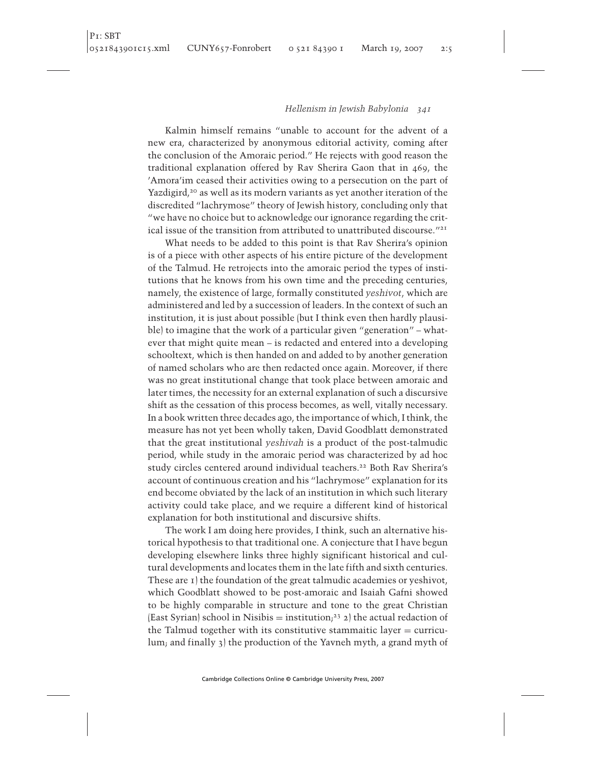Kalmin himself remains "unable to account for the advent of a new era, characterized by anonymous editorial activity, coming after the conclusion of the Amoraic period." He rejects with good reason the traditional explanation offered by Rav Sherira Gaon that in 469, the 'Amora'im ceased their activities owing to a persecution on the part of Yazdigird,<sup>20</sup> as well as its modern variants as yet another iteration of the discredited "lachrymose" theory of Jewish history, concluding only that "we have no choice but to acknowledge our ignorance regarding the critical issue of the transition from attributed to unattributed discourse."<sup>21</sup>

What needs to be added to this point is that Rav Sherira's opinion is of a piece with other aspects of his entire picture of the development of the Talmud. He retrojects into the amoraic period the types of institutions that he knows from his own time and the preceding centuries, namely, the existence of large, formally constituted *yeshivot*, which are administered and led by a succession of leaders. In the context of such an institution, it is just about possible (but I think even then hardly plausible) to imagine that the work of a particular given "generation" – whatever that might quite mean – is redacted and entered into a developing schooltext, which is then handed on and added to by another generation of named scholars who are then redacted once again. Moreover, if there was no great institutional change that took place between amoraic and later times, the necessity for an external explanation of such a discursive shift as the cessation of this process becomes, as well, vitally necessary. In a book written three decades ago, the importance of which, I think, the measure has not yet been wholly taken, David Goodblatt demonstrated that the great institutional *yeshivah* is a product of the post-talmudic period, while study in the amoraic period was characterized by ad hoc study circles centered around individual teachers.<sup>22</sup> Both Rav Sherira's account of continuous creation and his "lachrymose" explanation for its end become obviated by the lack of an institution in which such literary activity could take place, and we require a different kind of historical explanation for both institutional and discursive shifts.

The work I am doing here provides, I think, such an alternative historical hypothesis to that traditional one. A conjecture that I have begun developing elsewhere links three highly significant historical and cultural developments and locates them in the late fifth and sixth centuries. These are  $I$  the foundation of the great talmudic academies or yeshivot, which Goodblatt showed to be post-amoraic and Isaiah Gafni showed to be highly comparable in structure and tone to the great Christian (East Syrian) school in Nisibis = institution;<sup>23</sup> 2) the actual redaction of the Talmud together with its constitutive stammaitic layer  $=$  curriculum; and finally 3) the production of the Yavneh myth, a grand myth of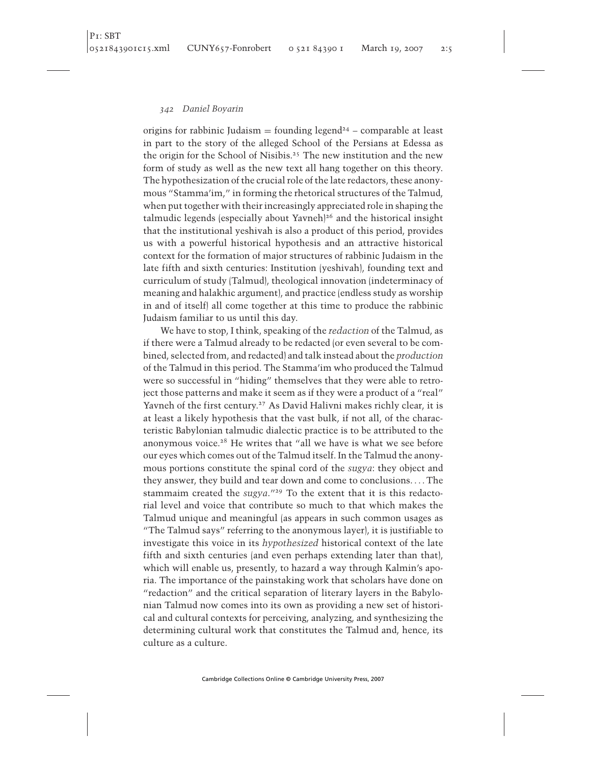origins for rabbinic Judaism  $=$  founding legend<sup>24</sup> – comparable at least in part to the story of the alleged School of the Persians at Edessa as the origin for the School of Nisibis.<sup>25</sup> The new institution and the new form of study as well as the new text all hang together on this theory. The hypothesization of the crucial role of the late redactors, these anonymous "Stamma'im," in forming the rhetorical structures of the Talmud, when put together with their increasingly appreciated role in shaping the talmudic legends (especially about Yavneh)<sup>26</sup> and the historical insight that the institutional yeshivah is also a product of this period, provides us with a powerful historical hypothesis and an attractive historical context for the formation of major structures of rabbinic Judaism in the late fifth and sixth centuries: Institution (yeshivah), founding text and curriculum of study (Talmud), theological innovation (indeterminacy of meaning and halakhic argument), and practice (endless study as worship in and of itself) all come together at this time to produce the rabbinic Judaism familiar to us until this day.

We have to stop, I think, speaking of the *redaction* of the Talmud, as if there were a Talmud already to be redacted (or even several to be combined, selected from, and redacted) and talk instead about the *production* of the Talmud in this period. The Stamma'im who produced the Talmud were so successful in "hiding" themselves that they were able to retroject those patterns and make it seem as if they were a product of a "real" Yavneh of the first century.<sup>27</sup> As David Halivni makes richly clear, it is at least a likely hypothesis that the vast bulk, if not all, of the characteristic Babylonian talmudic dialectic practice is to be attributed to the anonymous voice.<sup>28</sup> He writes that "all we have is what we see before our eyes which comes out of the Talmud itself. In the Talmud the anonymous portions constitute the spinal cord of the *sugya*: they object and they answer, they build and tear down and come to conclusions. ... The stammaim created the *sugya*."<sup>29</sup> To the extent that it is this redactorial level and voice that contribute so much to that which makes the Talmud unique and meaningful (as appears in such common usages as "The Talmud says" referring to the anonymous layer), it is justifiable to investigate this voice in its *hypothesized* historical context of the late fifth and sixth centuries (and even perhaps extending later than that), which will enable us, presently, to hazard a way through Kalmin's aporia. The importance of the painstaking work that scholars have done on "redaction" and the critical separation of literary layers in the Babylonian Talmud now comes into its own as providing a new set of historical and cultural contexts for perceiving, analyzing, and synthesizing the determining cultural work that constitutes the Talmud and, hence, its culture as a culture.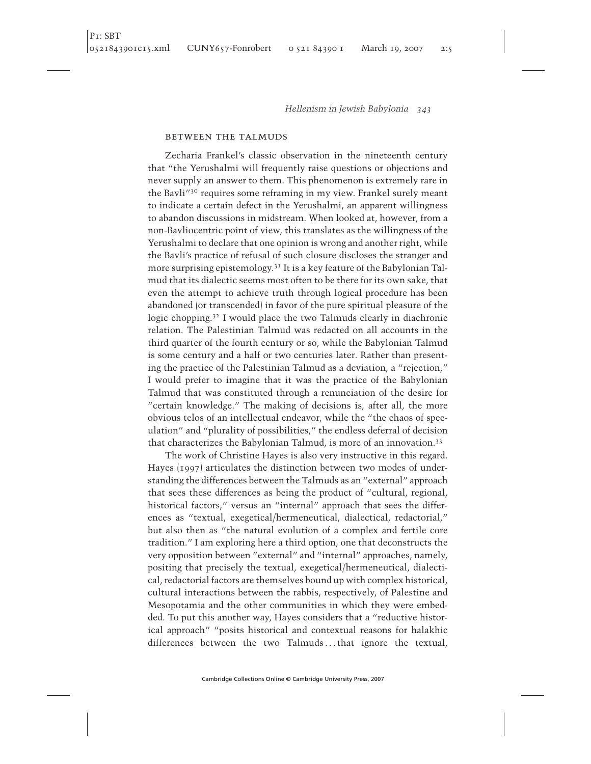## between the talmuds

Zecharia Frankel's classic observation in the nineteenth century that "the Yerushalmi will frequently raise questions or objections and never supply an answer to them. This phenomenon is extremely rare in the Bavli"<sup>30</sup> requires some reframing in my view. Frankel surely meant to indicate a certain defect in the Yerushalmi, an apparent willingness to abandon discussions in midstream. When looked at, however, from a non-Bavliocentric point of view, this translates as the willingness of the Yerushalmi to declare that one opinion is wrong and another right, while the Bavli's practice of refusal of such closure discloses the stranger and more surprising epistemology.<sup>31</sup> It is a key feature of the Babylonian Talmud that its dialectic seems most often to be there for its own sake, that even the attempt to achieve truth through logical procedure has been abandoned (or transcended) in favor of the pure spiritual pleasure of the logic chopping.<sup>32</sup> I would place the two Talmuds clearly in diachronic relation. The Palestinian Talmud was redacted on all accounts in the third quarter of the fourth century or so, while the Babylonian Talmud is some century and a half or two centuries later. Rather than presenting the practice of the Palestinian Talmud as a deviation, a "rejection," I would prefer to imagine that it was the practice of the Babylonian Talmud that was constituted through a renunciation of the desire for "certain knowledge." The making of decisions is, after all, the more obvious telos of an intellectual endeavor, while the "the chaos of speculation" and "plurality of possibilities," the endless deferral of decision that characterizes the Babylonian Talmud, is more of an innovation.<sup>33</sup>

The work of Christine Hayes is also very instructive in this regard. Hayes (1997) articulates the distinction between two modes of understanding the differences between the Talmuds as an "external" approach that sees these differences as being the product of "cultural, regional, historical factors," versus an "internal" approach that sees the differences as "textual, exegetical/hermeneutical, dialectical, redactorial," but also then as "the natural evolution of a complex and fertile core tradition." I am exploring here a third option, one that deconstructs the very opposition between "external" and "internal" approaches, namely, positing that precisely the textual, exegetical/hermeneutical, dialectical, redactorial factors are themselves bound up with complex historical, cultural interactions between the rabbis, respectively, of Palestine and Mesopotamia and the other communities in which they were embedded. To put this another way, Hayes considers that a "reductive historical approach" "posits historical and contextual reasons for halakhic differences between the two Talmuds ...that ignore the textual,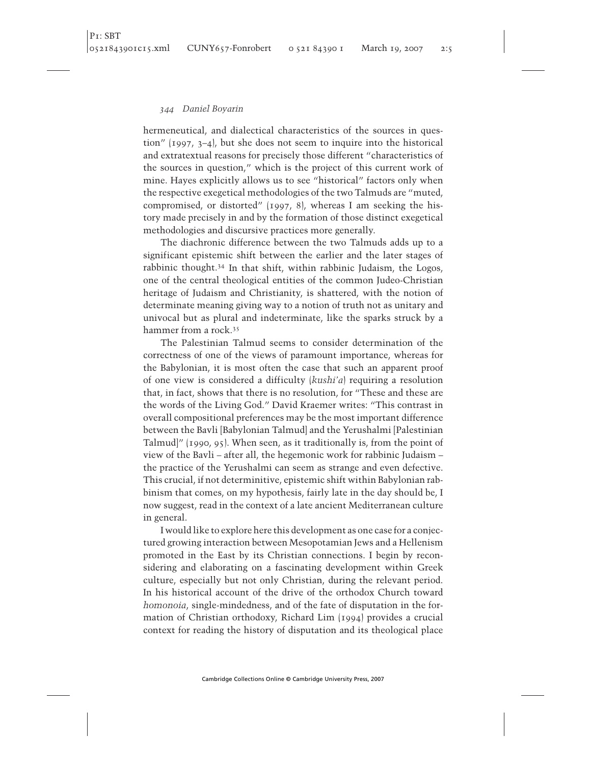hermeneutical, and dialectical characteristics of the sources in question" (1997, 3–4), but she does not seem to inquire into the historical and extratextual reasons for precisely those different "characteristics of the sources in question," which is the project of this current work of mine. Hayes explicitly allows us to see "historical" factors only when the respective exegetical methodologies of the two Talmuds are "muted, compromised, or distorted" (1997, 8), whereas I am seeking the history made precisely in and by the formation of those distinct exegetical methodologies and discursive practices more generally.

The diachronic difference between the two Talmuds adds up to a significant epistemic shift between the earlier and the later stages of rabbinic thought.<sup>34</sup> In that shift, within rabbinic Judaism, the Logos, one of the central theological entities of the common Judeo-Christian heritage of Judaism and Christianity, is shattered, with the notion of determinate meaning giving way to a notion of truth not as unitary and univocal but as plural and indeterminate, like the sparks struck by a hammer from a rock.<sup>35</sup>

The Palestinian Talmud seems to consider determination of the correctness of one of the views of paramount importance, whereas for the Babylonian, it is most often the case that such an apparent proof of one view is considered a difficulty (*kushi'a*) requiring a resolution that, in fact, shows that there is no resolution, for "These and these are the words of the Living God." David Kraemer writes: "This contrast in overall compositional preferences may be the most important difference between the Bavli [Babylonian Talmud] and the Yerushalmi [Palestinian Talmud]" (1990, 95). When seen, as it traditionally is, from the point of view of the Bavli – after all, the hegemonic work for rabbinic Judaism – the practice of the Yerushalmi can seem as strange and even defective. This crucial, if not determinitive, epistemic shift within Babylonian rabbinism that comes, on my hypothesis, fairly late in the day should be, I now suggest, read in the context of a late ancient Mediterranean culture in general.

I would like to explore here this development as one case for a conjectured growing interaction between Mesopotamian Jews and a Hellenism promoted in the East by its Christian connections. I begin by reconsidering and elaborating on a fascinating development within Greek culture, especially but not only Christian, during the relevant period. In his historical account of the drive of the orthodox Church toward *homonoia*, single-mindedness, and of the fate of disputation in the formation of Christian orthodoxy, Richard Lim (1994) provides a crucial context for reading the history of disputation and its theological place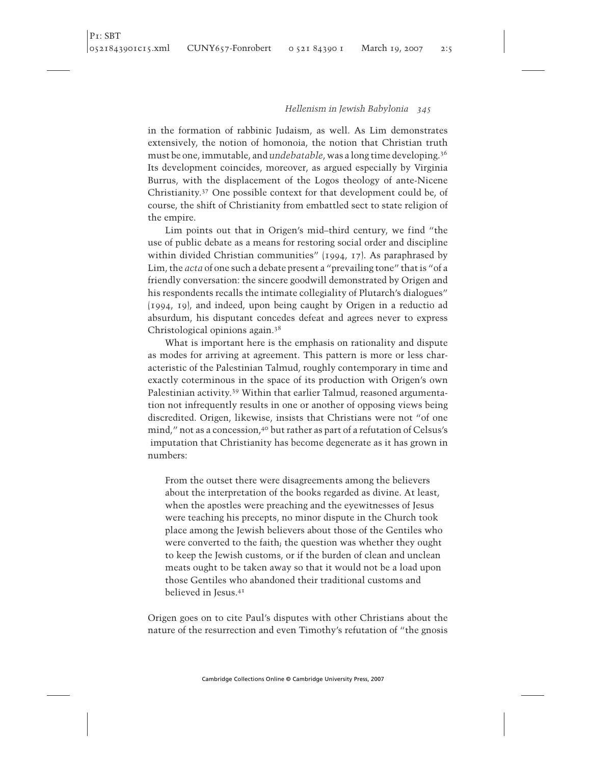in the formation of rabbinic Judaism, as well. As Lim demonstrates extensively, the notion of homonoia, the notion that Christian truth must be one, immutable, and *undebatable*, was a long time developing.<sup>36</sup> Its development coincides, moreover, as argued especially by Virginia Burrus, with the displacement of the Logos theology of ante-Nicene Christianity.<sup>37</sup> One possible context for that development could be, of course, the shift of Christianity from embattled sect to state religion of the empire.

Lim points out that in Origen's mid–third century, we find "the use of public debate as a means for restoring social order and discipline within divided Christian communities" (1994, 17). As paraphrased by Lim, the *acta* of one such a debate present a "prevailing tone" that is "of a friendly conversation: the sincere goodwill demonstrated by Origen and his respondents recalls the intimate collegiality of Plutarch's dialogues" (1994, 19), and indeed, upon being caught by Origen in a reductio ad absurdum, his disputant concedes defeat and agrees never to express Christological opinions again.<sup>38</sup>

What is important here is the emphasis on rationality and dispute as modes for arriving at agreement. This pattern is more or less characteristic of the Palestinian Talmud, roughly contemporary in time and exactly coterminous in the space of its production with Origen's own Palestinian activity.<sup>39</sup> Within that earlier Talmud, reasoned argumentation not infrequently results in one or another of opposing views being discredited. Origen, likewise, insists that Christians were not "of one mind," not as a concession,<sup>40</sup> but rather as part of a refutation of Celsus's imputation that Christianity has become degenerate as it has grown in numbers:

From the outset there were disagreements among the believers about the interpretation of the books regarded as divine. At least, when the apostles were preaching and the eyewitnesses of Jesus were teaching his precepts, no minor dispute in the Church took place among the Jewish believers about those of the Gentiles who were converted to the faith; the question was whether they ought to keep the Jewish customs, or if the burden of clean and unclean meats ought to be taken away so that it would not be a load upon those Gentiles who abandoned their traditional customs and believed in Jesus.<sup>41</sup>

Origen goes on to cite Paul's disputes with other Christians about the nature of the resurrection and even Timothy's refutation of "the gnosis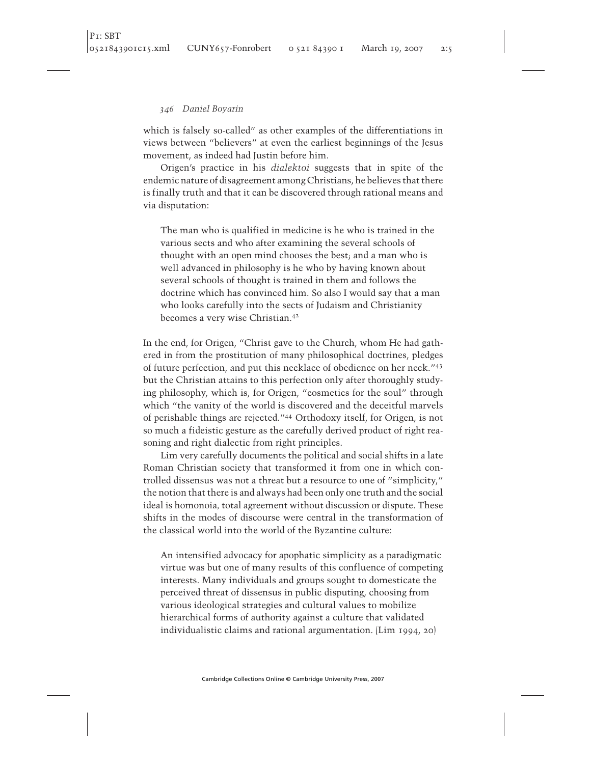which is falsely so-called" as other examples of the differentiations in views between "believers" at even the earliest beginnings of the Jesus movement, as indeed had Justin before him.

Origen's practice in his *dialektoi* suggests that in spite of the endemic nature of disagreement among Christians, he believes that there is finally truth and that it can be discovered through rational means and via disputation:

The man who is qualified in medicine is he who is trained in the various sects and who after examining the several schools of thought with an open mind chooses the best; and a man who is well advanced in philosophy is he who by having known about several schools of thought is trained in them and follows the doctrine which has convinced him. So also I would say that a man who looks carefully into the sects of Judaism and Christianity becomes a very wise Christian.<sup>42</sup>

In the end, for Origen, "Christ gave to the Church, whom He had gathered in from the prostitution of many philosophical doctrines, pledges of future perfection, and put this necklace of obedience on her neck."<sup>43</sup> but the Christian attains to this perfection only after thoroughly studying philosophy, which is, for Origen, "cosmetics for the soul" through which "the vanity of the world is discovered and the deceitful marvels of perishable things are rejected."<sup>44</sup> Orthodoxy itself, for Origen, is not so much a fideistic gesture as the carefully derived product of right reasoning and right dialectic from right principles.

Lim very carefully documents the political and social shifts in a late Roman Christian society that transformed it from one in which controlled dissensus was not a threat but a resource to one of "simplicity," the notion that there is and always had been only one truth and the social ideal is homonoia*,* total agreement without discussion or dispute. These shifts in the modes of discourse were central in the transformation of the classical world into the world of the Byzantine culture:

An intensified advocacy for apophatic simplicity as a paradigmatic virtue was but one of many results of this confluence of competing interests. Many individuals and groups sought to domesticate the perceived threat of dissensus in public disputing, choosing from various ideological strategies and cultural values to mobilize hierarchical forms of authority against a culture that validated individualistic claims and rational argumentation. (Lim 1994, 20)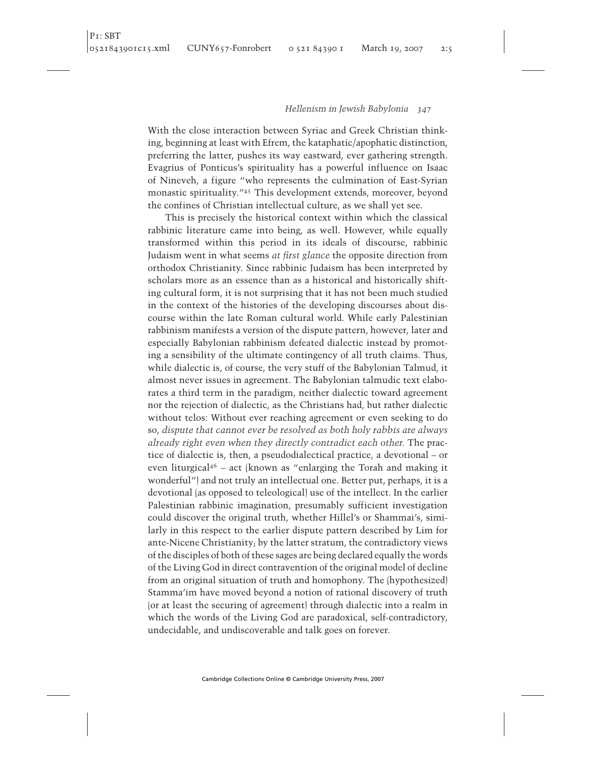With the close interaction between Syriac and Greek Christian thinking, beginning at least with Efrem, the kataphatic/apophatic distinction, preferring the latter, pushes its way eastward, ever gathering strength. Evagrius of Ponticus's spirituality has a powerful influence on Isaac of Nineveh, a figure "who represents the culmination of East-Syrian monastic spirituality."<sup>45</sup> This development extends, moreover, beyond the confines of Christian intellectual culture, as we shall yet see.

This is precisely the historical context within which the classical rabbinic literature came into being, as well. However, while equally transformed within this period in its ideals of discourse, rabbinic Judaism went in what seems *at first glance* the opposite direction from orthodox Christianity. Since rabbinic Judaism has been interpreted by scholars more as an essence than as a historical and historically shifting cultural form, it is not surprising that it has not been much studied in the context of the histories of the developing discourses about discourse within the late Roman cultural world. While early Palestinian rabbinism manifests a version of the dispute pattern, however, later and especially Babylonian rabbinism defeated dialectic instead by promoting a sensibility of the ultimate contingency of all truth claims. Thus, while dialectic is, of course, the very stuff of the Babylonian Talmud, it almost never issues in agreement. The Babylonian talmudic text elaborates a third term in the paradigm, neither dialectic toward agreement nor the rejection of dialectic, as the Christians had, but rather dialectic without telos: Without ever reaching agreement or even seeking to do so, *dispute that cannot ever be resolved as both holy rabbis are always already right even when they directly contradict each other.* The practice of dialectic is, then, a pseudodialectical practice, a devotional – or even liturgical<sup>46</sup> – act (known as "enlarging the Torah and making it wonderful") and not truly an intellectual one. Better put, perhaps, it is a devotional (as opposed to teleological) use of the intellect. In the earlier Palestinian rabbinic imagination, presumably sufficient investigation could discover the original truth, whether Hillel's or Shammai's, similarly in this respect to the earlier dispute pattern described by Lim for ante-Nicene Christianity; by the latter stratum, the contradictory views of the disciples of both of these sages are being declared equally the words of the Living God in direct contravention of the original model of decline from an original situation of truth and homophony. The (hypothesized) Stamma'im have moved beyond a notion of rational discovery of truth (or at least the securing of agreement) through dialectic into a realm in which the words of the Living God are paradoxical, self-contradictory, undecidable, and undiscoverable and talk goes on forever.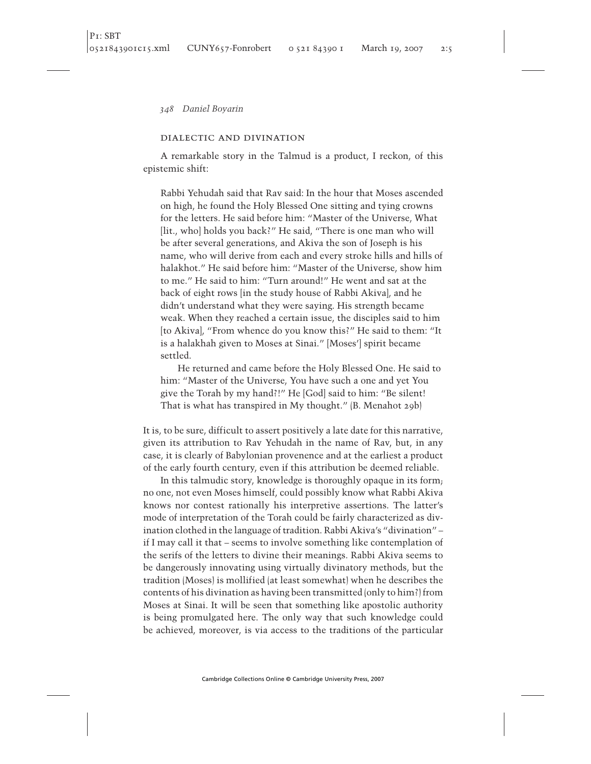# dialectic and divination

A remarkable story in the Talmud is a product, I reckon, of this epistemic shift:

Rabbi Yehudah said that Rav said: In the hour that Moses ascended on high, he found the Holy Blessed One sitting and tying crowns for the letters. He said before him: "Master of the Universe, What [lit., who] holds you back?" He said, "There is one man who will be after several generations, and Akiva the son of Joseph is his name, who will derive from each and every stroke hills and hills of halakhot." He said before him: "Master of the Universe, show him to me." He said to him: "Turn around!" He went and sat at the back of eight rows [in the study house of Rabbi Akiva], and he didn't understand what they were saying. His strength became weak. When they reached a certain issue, the disciples said to him [to Akiva], "From whence do you know this?" He said to them: "It is a halakhah given to Moses at Sinai." [Moses'] spirit became settled.

He returned and came before the Holy Blessed One. He said to him: "Master of the Universe, You have such a one and yet You give the Torah by my hand?!" He [God] said to him: "Be silent! That is what has transpired in My thought." (B. Menahot 29b)

It is, to be sure, difficult to assert positively a late date for this narrative, given its attribution to Rav Yehudah in the name of Rav, but, in any case, it is clearly of Babylonian provenence and at the earliest a product of the early fourth century, even if this attribution be deemed reliable.

In this talmudic story, knowledge is thoroughly opaque in its form; no one, not even Moses himself, could possibly know what Rabbi Akiva knows nor contest rationally his interpretive assertions. The latter's mode of interpretation of the Torah could be fairly characterized as divination clothed in the language of tradition. Rabbi Akiva's "divination" – if I may call it that – seems to involve something like contemplation of the serifs of the letters to divine their meanings. Rabbi Akiva seems to be dangerously innovating using virtually divinatory methods, but the tradition (Moses) is mollified (at least somewhat) when he describes the contents of his divination as having been transmitted (only to him?) from Moses at Sinai. It will be seen that something like apostolic authority is being promulgated here. The only way that such knowledge could be achieved, moreover, is via access to the traditions of the particular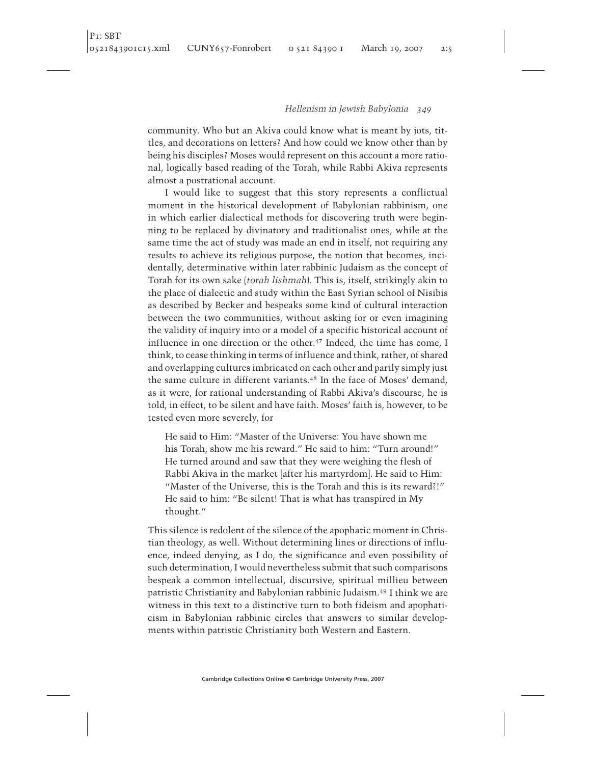community. Who but an Akiva could know what is meant by jots, tittles, and decorations on letters? And how could we know other than by being his disciples? Moses would represent on this account a more rational, logically based reading of the Torah, while Rabbi Akiva represents almost a postrational account.

I would like to suggest that this story represents a conflictual moment in the historical development of Babylonian rabbinism, one in which earlier dialectical methods for discovering truth were beginning to be replaced by divinatory and traditionalist ones, while at the same time the act of study was made an end in itself, not requiring any results to achieve its religious purpose, the notion that becomes, incidentally, determinative within later rabbinic Judaism as the concept of Torah for its own sake (*torah lishmah*). This is, itself, strikingly akin to the place of dialectic and study within the East Syrian school of Nisibis as described by Becker and bespeaks some kind of cultural interaction between the two communities, without asking for or even imagining the validity of inquiry into or a model of a specific historical account of influence in one direction or the other.<sup>47</sup> Indeed, the time has come, I think, to cease thinking in terms of influence and think, rather, of shared and overlapping cultures imbricated on each other and partly simply just the same culture in different variants.<sup>48</sup> In the face of Moses' demand, as it were, for rational understanding of Rabbi Akiva's discourse, he is told, in effect, to be silent and have faith. Moses' faith is, however, to be tested even more severely, for

He said to Him: "Master of the Universe: You have shown me his Torah, show me his reward." He said to him: "Turn around!" He turned around and saw that they were weighing the flesh of Rabbi Akiva in the market [after his martyrdom]. He said to Him: "Master of the Universe, this is the Torah and this is its reward?!" He said to him: "Be silent! That is what has transpired in My thought."

This silence is redolent of the silence of the apophatic moment in Christian theology, as well. Without determining lines or directions of influence, indeed denying, as I do, the significance and even possibility of such determination, I would nevertheless submit that such comparisons bespeak a common intellectual, discursive, spiritual millieu between patristic Christianity and Babylonian rabbinic Judaism.<sup>49</sup> I think we are witness in this text to a distinctive turn to both fideism and apophaticism in Babylonian rabbinic circles that answers to similar developments within patristic Christianity both Western and Eastern.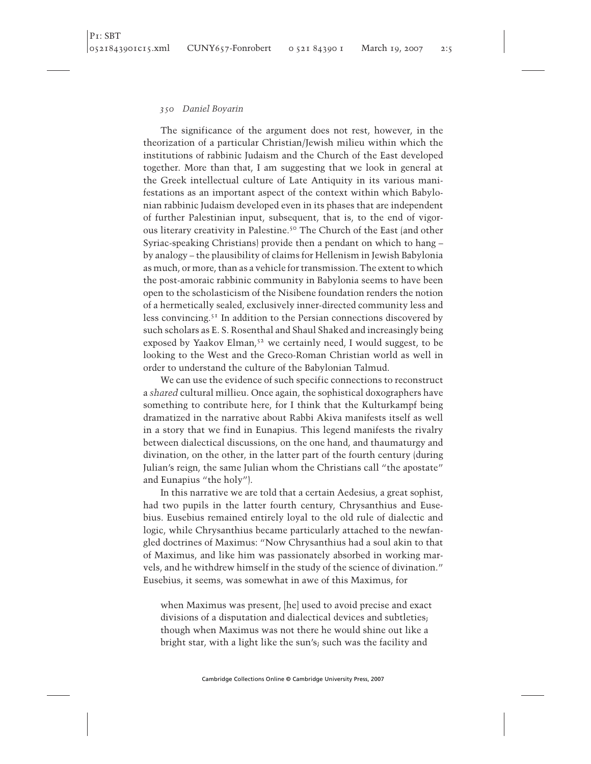The significance of the argument does not rest, however, in the theorization of a particular Christian/Jewish milieu within which the institutions of rabbinic Judaism and the Church of the East developed together. More than that, I am suggesting that we look in general at the Greek intellectual culture of Late Antiquity in its various manifestations as an important aspect of the context within which Babylonian rabbinic Judaism developed even in its phases that are independent of further Palestinian input, subsequent, that is, to the end of vigorous literary creativity in Palestine.<sup>50</sup> The Church of the East (and other Syriac-speaking Christians) provide then a pendant on which to hang – by analogy – the plausibility of claims for Hellenism in Jewish Babylonia as much, or more, than as a vehicle for transmission. The extent to which the post-amoraic rabbinic community in Babylonia seems to have been open to the scholasticism of the Nisibene foundation renders the notion of a hermetically sealed, exclusively inner-directed community less and less convincing.<sup>51</sup> In addition to the Persian connections discovered by such scholars as E. S. Rosenthal and Shaul Shaked and increasingly being exposed by Yaakov Elman,<sup>52</sup> we certainly need, I would suggest, to be looking to the West and the Greco-Roman Christian world as well in order to understand the culture of the Babylonian Talmud.

We can use the evidence of such specific connections to reconstruct a *shared* cultural millieu. Once again, the sophistical doxographers have something to contribute here, for I think that the Kulturkampf being dramatized in the narrative about Rabbi Akiva manifests itself as well in a story that we find in Eunapius. This legend manifests the rivalry between dialectical discussions, on the one hand, and thaumaturgy and divination, on the other, in the latter part of the fourth century (during Julian's reign, the same Julian whom the Christians call "the apostate" and Eunapius "the holy").

In this narrative we are told that a certain Aedesius, a great sophist, had two pupils in the latter fourth century, Chrysanthius and Eusebius. Eusebius remained entirely loyal to the old rule of dialectic and logic, while Chrysanthius became particularly attached to the newfangled doctrines of Maximus: "Now Chrysanthius had a soul akin to that of Maximus, and like him was passionately absorbed in working marvels, and he withdrew himself in the study of the science of divination." Eusebius, it seems, was somewhat in awe of this Maximus, for

when Maximus was present, [he] used to avoid precise and exact divisions of a disputation and dialectical devices and subtleties; though when Maximus was not there he would shine out like a bright star, with a light like the sun's; such was the facility and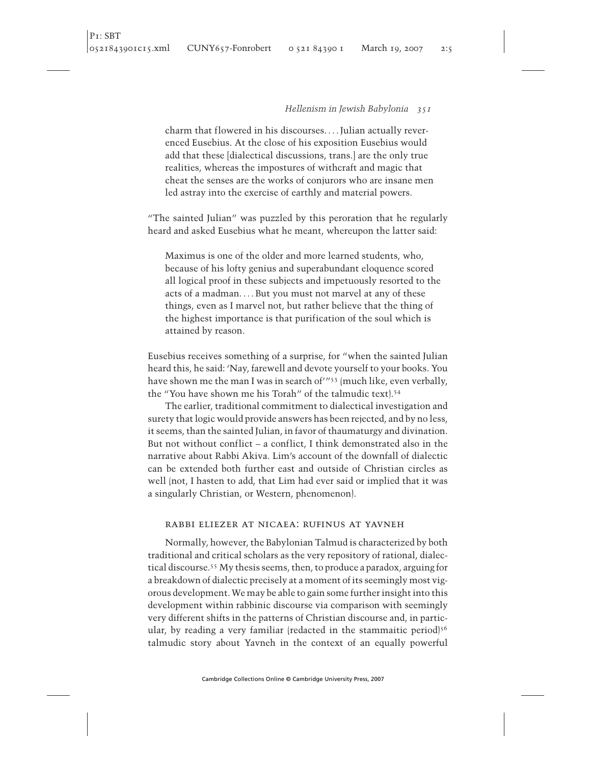charm that flowered in his discourses. ... Julian actually reverenced Eusebius. At the close of his exposition Eusebius would add that these [dialectical discussions, trans.] are the only true realities, whereas the impostures of withcraft and magic that cheat the senses are the works of conjurors who are insane men led astray into the exercise of earthly and material powers.

"The sainted Julian" was puzzled by this peroration that he regularly heard and asked Eusebius what he meant, whereupon the latter said:

Maximus is one of the older and more learned students, who, because of his lofty genius and superabundant eloquence scored all logical proof in these subjects and impetuously resorted to the acts of a madman. ... But you must not marvel at any of these things, even as I marvel not, but rather believe that the thing of the highest importance is that purification of the soul which is attained by reason.

Eusebius receives something of a surprise, for "when the sainted Julian heard this, he said: 'Nay, farewell and devote yourself to your books. You have shown me the man I was in search of<sup>1153</sup> (much like, even verbally, the "You have shown me his Torah" of the talmudic text).<sup>54</sup>

The earlier, traditional commitment to dialectical investigation and surety that logic would provide answers has been rejected, and by no less, it seems, than the sainted Julian, in favor of thaumaturgy and divination. But not without conflict – a conflict. I think demonstrated also in the narrative about Rabbi Akiva. Lim's account of the downfall of dialectic can be extended both further east and outside of Christian circles as well (not, I hasten to add, that Lim had ever said or implied that it was a singularly Christian, or Western, phenomenon).

#### rabbi eliezer at nicaea: rufinus at yavneh

Normally, however, the Babylonian Talmud is characterized by both traditional and critical scholars as the very repository of rational, dialectical discourse.<sup>55</sup> My thesis seems, then, to produce a paradox, arguing for a breakdown of dialectic precisely at a moment of its seemingly most vigorous development. We may be able to gain some further insight into this development within rabbinic discourse via comparison with seemingly very different shifts in the patterns of Christian discourse and, in particular, by reading a very familiar (redacted in the stammaitic period)<sup>56</sup> talmudic story about Yavneh in the context of an equally powerful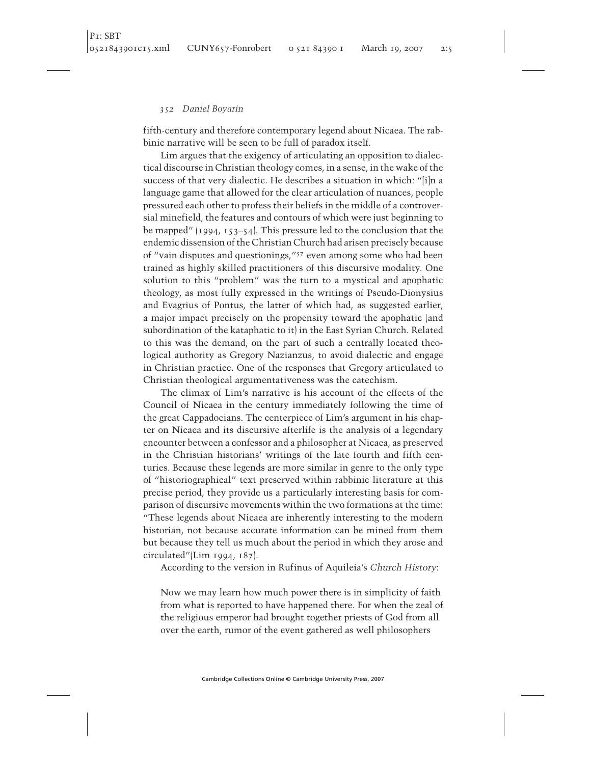fifth-century and therefore contemporary legend about Nicaea. The rabbinic narrative will be seen to be full of paradox itself.

Lim argues that the exigency of articulating an opposition to dialectical discourse in Christian theology comes, in a sense, in the wake of the success of that very dialectic. He describes a situation in which: "[i]n a language game that allowed for the clear articulation of nuances, people pressured each other to profess their beliefs in the middle of a controversial minefield, the features and contours of which were just beginning to be mapped" (1994, 153–54). This pressure led to the conclusion that the endemic dissension of the Christian Church had arisen precisely because of "vain disputes and questionings,"<sup>57</sup> even among some who had been trained as highly skilled practitioners of this discursive modality. One solution to this "problem" was the turn to a mystical and apophatic theology, as most fully expressed in the writings of Pseudo-Dionysius and Evagrius of Pontus, the latter of which had, as suggested earlier, a major impact precisely on the propensity toward the apophatic (and subordination of the kataphatic to it) in the East Syrian Church. Related to this was the demand, on the part of such a centrally located theological authority as Gregory Nazianzus, to avoid dialectic and engage in Christian practice. One of the responses that Gregory articulated to Christian theological argumentativeness was the catechism.

The climax of Lim's narrative is his account of the effects of the Council of Nicaea in the century immediately following the time of the great Cappadocians. The centerpiece of Lim's argument in his chapter on Nicaea and its discursive afterlife is the analysis of a legendary encounter between a confessor and a philosopher at Nicaea, as preserved in the Christian historians' writings of the late fourth and fifth centuries. Because these legends are more similar in genre to the only type of "historiographical" text preserved within rabbinic literature at this precise period, they provide us a particularly interesting basis for comparison of discursive movements within the two formations at the time: "These legends about Nicaea are inherently interesting to the modern historian, not because accurate information can be mined from them but because they tell us much about the period in which they arose and circulated"(Lim 1994, 187).

According to the version in Rufinus of Aquileia's *Church History*:

Now we may learn how much power there is in simplicity of faith from what is reported to have happened there. For when the zeal of the religious emperor had brought together priests of God from all over the earth, rumor of the event gathered as well philosophers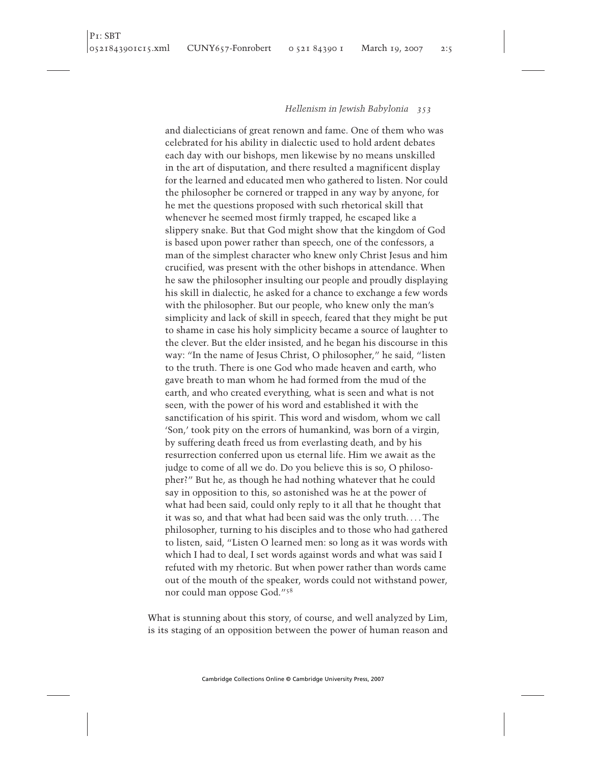and dialecticians of great renown and fame. One of them who was celebrated for his ability in dialectic used to hold ardent debates each day with our bishops, men likewise by no means unskilled in the art of disputation, and there resulted a magnificent display for the learned and educated men who gathered to listen. Nor could the philosopher be cornered or trapped in any way by anyone, for he met the questions proposed with such rhetorical skill that whenever he seemed most firmly trapped, he escaped like a slippery snake. But that God might show that the kingdom of God is based upon power rather than speech, one of the confessors, a man of the simplest character who knew only Christ Jesus and him crucified, was present with the other bishops in attendance. When he saw the philosopher insulting our people and proudly displaying his skill in dialectic, he asked for a chance to exchange a few words with the philosopher. But our people, who knew only the man's simplicity and lack of skill in speech, feared that they might be put to shame in case his holy simplicity became a source of laughter to the clever. But the elder insisted, and he began his discourse in this way: "In the name of Jesus Christ, O philosopher," he said, "listen to the truth. There is one God who made heaven and earth, who gave breath to man whom he had formed from the mud of the earth, and who created everything, what is seen and what is not seen, with the power of his word and established it with the sanctification of his spirit. This word and wisdom, whom we call 'Son,' took pity on the errors of humankind, was born of a virgin, by suffering death freed us from everlasting death, and by his resurrection conferred upon us eternal life. Him we await as the judge to come of all we do. Do you believe this is so, O philosopher?" But he, as though he had nothing whatever that he could say in opposition to this, so astonished was he at the power of what had been said, could only reply to it all that he thought that it was so, and that what had been said was the only truth. ... The philosopher, turning to his disciples and to those who had gathered to listen, said, "Listen O learned men: so long as it was words with which I had to deal, I set words against words and what was said I refuted with my rhetoric. But when power rather than words came out of the mouth of the speaker, words could not withstand power, nor could man oppose God."<sup>58</sup>

What is stunning about this story, of course, and well analyzed by Lim, is its staging of an opposition between the power of human reason and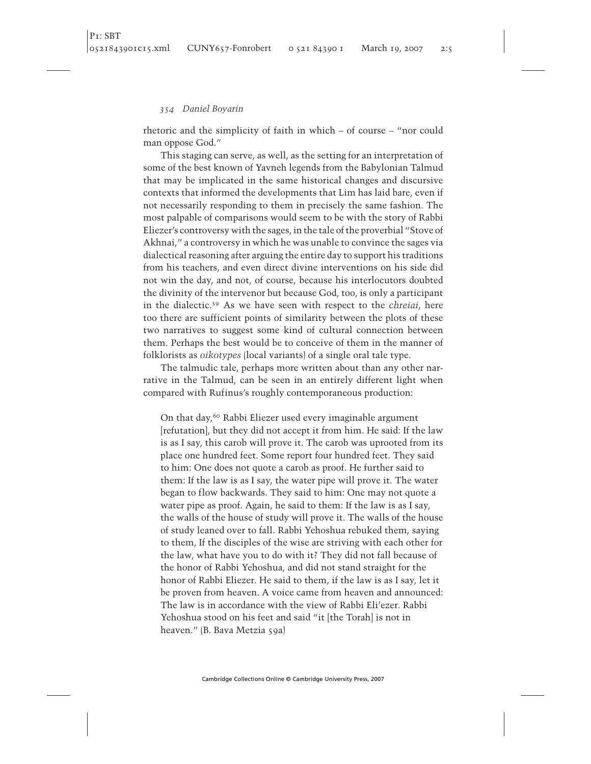rhetoric and the simplicity of faith in which – of course – "nor could man oppose God."

This staging can serve, as well, as the setting for an interpretation of some of the best known of Yavneh legends from the Babylonian Talmud that may be implicated in the same historical changes and discursive contexts that informed the developments that Lim has laid bare, even if not necessarily responding to them in precisely the same fashion. The most palpable of comparisons would seem to be with the story of Rabbi Eliezer's controversy with the sages, in the tale of the proverbial "Stove of Akhnai," a controversy in which he was unable to convince the sages via dialectical reasoning after arguing the entire day to support his traditions from his teachers, and even direct divine interventions on his side did not win the day, and not, of course, because his interlocutors doubted the divinity of the intervenor but because God, too, is only a participant in the dialectic.<sup>59</sup> As we have seen with respect to the *chreiai*, here too there are sufficient points of similarity between the plots of these two narratives to suggest some kind of cultural connection between them. Perhaps the best would be to conceive of them in the manner of folklorists as *oikotypes* (local variants) of a single oral tale type.

The talmudic tale, perhaps more written about than any other narrative in the Talmud, can be seen in an entirely different light when compared with Rufinus's roughly contemporaneous production:

On that day,<sup>60</sup> Rabbi Eliezer used every imaginable argument [refutation], but they did not accept it from him. He said: If the law is as I say, this carob will prove it. The carob was uprooted from its place one hundred feet. Some report four hundred feet. They said to him: One does not quote a carob as proof. He further said to them: If the law is as I say, the water pipe will prove it. The water began to flow backwards. They said to him: One may not quote a water pipe as proof. Again, he said to them: If the law is as I say, the walls of the house of study will prove it. The walls of the house of study leaned over to fall. Rabbi Yehoshua rebuked them, saying to them, If the disciples of the wise are striving with each other for the law, what have you to do with it? They did not fall because of the honor of Rabbi Yehoshua, and did not stand straight for the honor of Rabbi Eliezer. He said to them, if the law is as I say, let it be proven from heaven. A voice came from heaven and announced: The law is in accordance with the view of Rabbi Eli'ezer. Rabbi Yehoshua stood on his feet and said "it [the Torah] is not in heaven." (B. Bava Metzia 59a)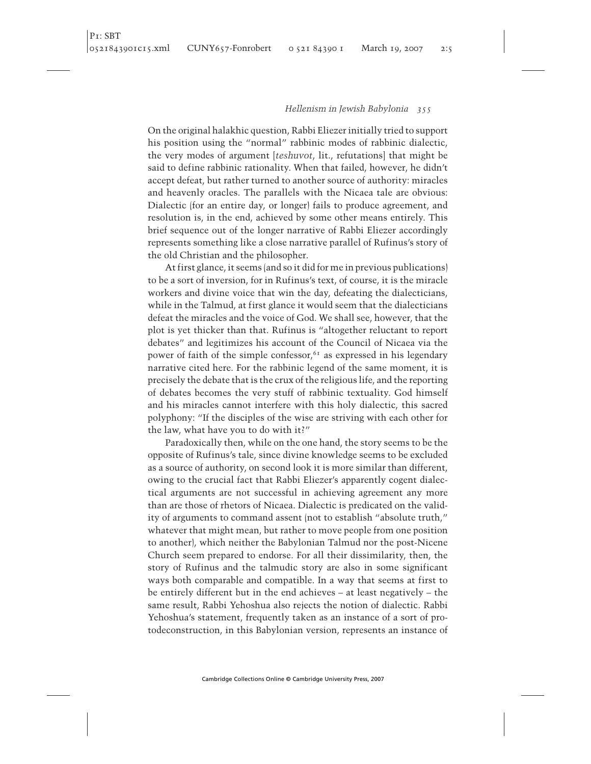On the original halakhic question, Rabbi Eliezer initially tried to support his position using the "normal" rabbinic modes of rabbinic dialectic, the very modes of argument [*teshuvot*, lit., refutations] that might be said to define rabbinic rationality. When that failed, however, he didn't accept defeat, but rather turned to another source of authority: miracles and heavenly oracles. The parallels with the Nicaea tale are obvious: Dialectic (for an entire day, or longer) fails to produce agreement, and resolution is, in the end, achieved by some other means entirely. This brief sequence out of the longer narrative of Rabbi Eliezer accordingly represents something like a close narrative parallel of Rufinus's story of the old Christian and the philosopher.

At first glance, it seems (and so it did for me in previous publications) to be a sort of inversion, for in Rufinus's text, of course, it is the miracle workers and divine voice that win the day, defeating the dialecticians, while in the Talmud, at first glance it would seem that the dialecticians defeat the miracles and the voice of God. We shall see, however, that the plot is yet thicker than that. Rufinus is "altogether reluctant to report debates" and legitimizes his account of the Council of Nicaea via the power of faith of the simple confessor,  $61$  as expressed in his legendary narrative cited here. For the rabbinic legend of the same moment, it is precisely the debate that is the crux of the religious life, and the reporting of debates becomes the very stuff of rabbinic textuality. God himself and his miracles cannot interfere with this holy dialectic, this sacred polyphony: "If the disciples of the wise are striving with each other for the law, what have you to do with it?"

Paradoxically then, while on the one hand, the story seems to be the opposite of Rufinus's tale, since divine knowledge seems to be excluded as a source of authority, on second look it is more similar than different, owing to the crucial fact that Rabbi Eliezer's apparently cogent dialectical arguments are not successful in achieving agreement any more than are those of rhetors of Nicaea. Dialectic is predicated on the validity of arguments to command assent (not to establish "absolute truth," whatever that might mean, but rather to move people from one position to another), which neither the Babylonian Talmud nor the post-Nicene Church seem prepared to endorse. For all their dissimilarity, then, the story of Rufinus and the talmudic story are also in some significant ways both comparable and compatible. In a way that seems at first to be entirely different but in the end achieves – at least negatively – the same result, Rabbi Yehoshua also rejects the notion of dialectic. Rabbi Yehoshua's statement, frequently taken as an instance of a sort of protodeconstruction, in this Babylonian version, represents an instance of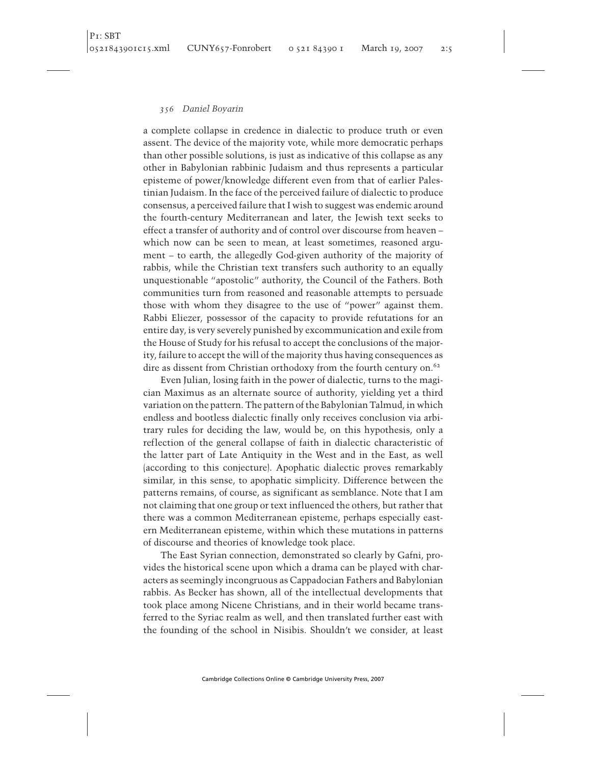a complete collapse in credence in dialectic to produce truth or even assent. The device of the majority vote, while more democratic perhaps than other possible solutions, is just as indicative of this collapse as any other in Babylonian rabbinic Judaism and thus represents a particular episteme of power/knowledge different even from that of earlier Palestinian Judaism. In the face of the perceived failure of dialectic to produce consensus, a perceived failure that I wish to suggest was endemic around the fourth-century Mediterranean and later, the Jewish text seeks to effect a transfer of authority and of control over discourse from heaven – which now can be seen to mean, at least sometimes, reasoned argument – to earth, the allegedly God-given authority of the majority of rabbis, while the Christian text transfers such authority to an equally unquestionable "apostolic" authority, the Council of the Fathers. Both communities turn from reasoned and reasonable attempts to persuade those with whom they disagree to the use of "power" against them. Rabbi Eliezer, possessor of the capacity to provide refutations for an entire day, is very severely punished by excommunication and exile from the House of Study for his refusal to accept the conclusions of the majority, failure to accept the will of the majority thus having consequences as dire as dissent from Christian orthodoxy from the fourth century on.<sup>62</sup>

Even Julian, losing faith in the power of dialectic, turns to the magician Maximus as an alternate source of authority, yielding yet a third variation on the pattern. The pattern of the Babylonian Talmud, in which endless and bootless dialectic finally only receives conclusion via arbitrary rules for deciding the law, would be, on this hypothesis, only a reflection of the general collapse of faith in dialectic characteristic of the latter part of Late Antiquity in the West and in the East, as well (according to this conjecture). Apophatic dialectic proves remarkably similar, in this sense, to apophatic simplicity. Difference between the patterns remains, of course, as significant as semblance. Note that I am not claiming that one group or text influenced the others, but rather that there was a common Mediterranean episteme, perhaps especially eastern Mediterranean episteme, within which these mutations in patterns of discourse and theories of knowledge took place.

The East Syrian connection, demonstrated so clearly by Gafni, provides the historical scene upon which a drama can be played with characters as seemingly incongruous as Cappadocian Fathers and Babylonian rabbis. As Becker has shown, all of the intellectual developments that took place among Nicene Christians, and in their world became transferred to the Syriac realm as well, and then translated further east with the founding of the school in Nisibis. Shouldn't we consider, at least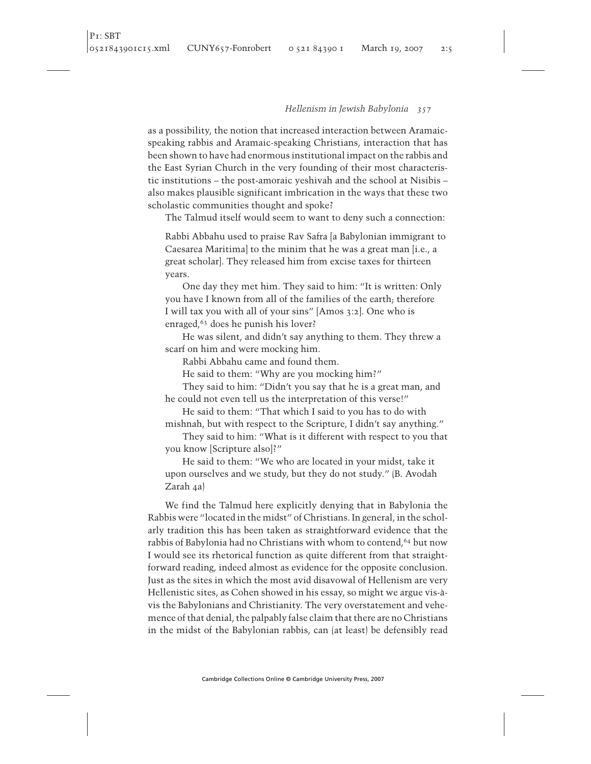as a possibility, the notion that increased interaction between Aramaicspeaking rabbis and Aramaic-speaking Christians, interaction that has been shown to have had enormous institutional impact on the rabbis and the East Syrian Church in the very founding of their most characteristic institutions – the post-amoraic yeshivah and the school at Nisibis – also makes plausible significant imbrication in the ways that these two scholastic communities thought and spoke?

The Talmud itself would seem to want to deny such a connection:

Rabbi Abbahu used to praise Rav Safra [a Babylonian immigrant to Caesarea Maritima] to the minim that he was a great man [i.e., a great scholar]. They released him from excise taxes for thirteen years.

One day they met him. They said to him: "It is written: Only you have I known from all of the families of the earth; therefore I will tax you with all of your sins" [Amos 3:2]. One who is enraged,<sup>63</sup> does he punish his lover?

He was silent, and didn't say anything to them. They threw a scarf on him and were mocking him.

Rabbi Abbahu came and found them.

He said to them: "Why are you mocking him?"

They said to him: "Didn't you say that he is a great man, and he could not even tell us the interpretation of this verse!"

He said to them: "That which I said to you has to do with mishnah, but with respect to the Scripture, I didn't say anything."

They said to him: "What is it different with respect to you that you know [Scripture also]?"

He said to them: "We who are located in your midst, take it upon ourselves and we study, but they do not study." (B. Avodah Zarah 4a)

We find the Talmud here explicitly denying that in Babylonia the Rabbis were "located in the midst" of Christians. In general, in the scholarly tradition this has been taken as straightforward evidence that the rabbis of Babylonia had no Christians with whom to contend,<sup>64</sup> but now I would see its rhetorical function as quite different from that straightforward reading, indeed almost as evidence for the opposite conclusion. Just as the sites in which the most avid disavowal of Hellenism are very Hellenistic sites, as Cohen showed in his essay, so might we argue vis-a-` vis the Babylonians and Christianity. The very overstatement and vehemence of that denial, the palpably false claim that there are no Christians in the midst of the Babylonian rabbis, can (at least) be defensibly read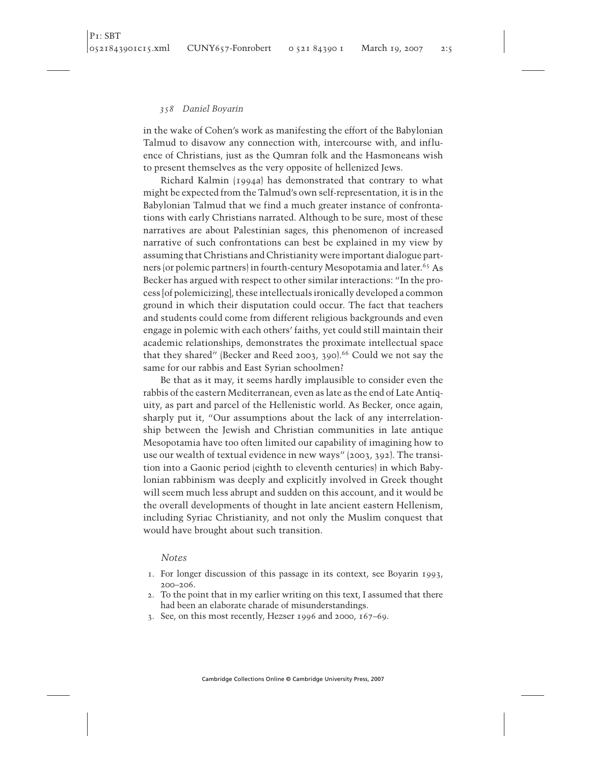in the wake of Cohen's work as manifesting the effort of the Babylonian Talmud to disavow any connection with, intercourse with, and influence of Christians, just as the Qumran folk and the Hasmoneans wish to present themselves as the very opposite of hellenized Jews.

Richard Kalmin (1994a) has demonstrated that contrary to what might be expected from the Talmud's own self-representation, it is in the Babylonian Talmud that we find a much greater instance of confrontations with early Christians narrated. Although to be sure, most of these narratives are about Palestinian sages, this phenomenon of increased narrative of such confrontations can best be explained in my view by assuming that Christians and Christianity were important dialogue partners (or polemic partners) in fourth-century Mesopotamia and later.<sup>65</sup> As Becker has argued with respect to other similar interactions: "In the process [of polemicizing], these intellectuals ironically developed a common ground in which their disputation could occur. The fact that teachers and students could come from different religious backgrounds and even engage in polemic with each others' faiths, yet could still maintain their academic relationships, demonstrates the proximate intellectual space that they shared" (Becker and Reed 2003, 390).<sup>66</sup> Could we not say the same for our rabbis and East Syrian schoolmen?

Be that as it may, it seems hardly implausible to consider even the rabbis of the eastern Mediterranean, even as late as the end of Late Antiquity, as part and parcel of the Hellenistic world. As Becker, once again, sharply put it, "Our assumptions about the lack of any interrelationship between the Jewish and Christian communities in late antique Mesopotamia have too often limited our capability of imagining how to use our wealth of textual evidence in new ways" (2003, 392). The transition into a Gaonic period (eighth to eleventh centuries) in which Babylonian rabbinism was deeply and explicitly involved in Greek thought will seem much less abrupt and sudden on this account, and it would be the overall developments of thought in late ancient eastern Hellenism, including Syriac Christianity, and not only the Muslim conquest that would have brought about such transition.

#### *Notes*

- 1. For longer discussion of this passage in its context, see Boyarin 1993, 200–206.
- 2. To the point that in my earlier writing on this text, I assumed that there had been an elaborate charade of misunderstandings.
- 3. See, on this most recently, Hezser 1996 and 2000, 167–69.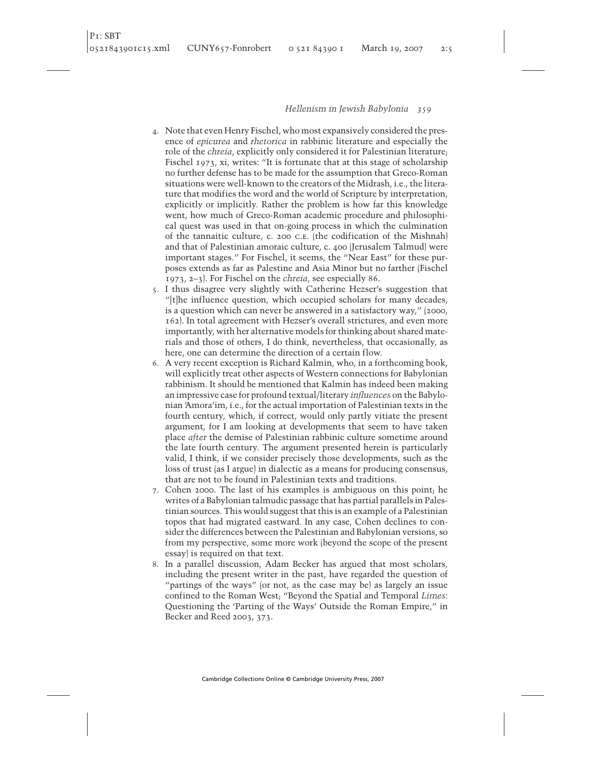- 4. Note that even Henry Fischel, who most expansively considered the presence of *epicurea* and *rhetorica* in rabbinic literature and especially the role of the *chreia*, explicitly only considered it for Palestinian literature; Fischel 1973, xi, writes: "It is fortunate that at this stage of scholarship no further defense has to be made for the assumption that Greco-Roman situations were well-known to the creators of the Midrash, i.e., the literature that modifies the word and the world of Scripture by interpretation, explicitly or implicitly. Rather the problem is how far this knowledge went, how much of Greco-Roman academic procedure and philosophical quest was used in that on-going process in which the culmination of the tannaitic culture, c. 200 c.e. (the codification of the Mishnah) and that of Palestinian amoraic culture, c. 400 (Jerusalem Talmud) were important stages." For Fischel, it seems, the "Near East" for these purposes extends as far as Palestine and Asia Minor but no farther (Fischel 1973, 2–3). For Fischel on the *chreia*, see especially 86.
- 5. I thus disagree very slightly with Catherine Hezser's suggestion that "[t]he influence question, which occupied scholars for many decades, is a question which can never be answered in a satisfactory way," (2000, 162). In total agreement with Hezser's overall strictures, and even more importantly, with her alternative models for thinking about shared materials and those of others, I do think, nevertheless, that occasionally, as here, one can determine the direction of a certain flow.
- 6. A very recent exception is Richard Kalmin, who, in a forthcoming book, will explicitly treat other aspects of Western connections for Babylonian rabbinism. It should be mentioned that Kalmin has indeed been making an impressive case for profound textual/literary *influences* on the Babylonian 'Amora'im, i.e., for the actual importation of Palestinian texts in the fourth century, which, if correct, would only partly vitiate the present argument, for I am looking at developments that seem to have taken place *after* the demise of Palestinian rabbinic culture sometime around the late fourth century. The argument presented herein is particularly valid, I think, if we consider precisely those developments, such as the loss of trust (as I argue) in dialectic as a means for producing consensus, that are not to be found in Palestinian texts and traditions.
- 7. Cohen 2000. The last of his examples is ambiguous on this point; he writes of a Babylonian talmudic passage that has partial parallels in Palestinian sources. This would suggest that this is an example of a Palestinian topos that had migrated eastward. In any case, Cohen declines to consider the differences between the Palestinian and Babylonian versions, so from my perspective, some more work (beyond the scope of the present essay) is required on that text.
- 8. In a parallel discussion, Adam Becker has argued that most scholars, including the present writer in the past, have regarded the question of "partings of the ways" (or not, as the case may be) as largely an issue confined to the Roman West; "Beyond the Spatial and Temporal *Limes*: Questioning the 'Parting of the Ways' Outside the Roman Empire," in Becker and Reed 2003, 373.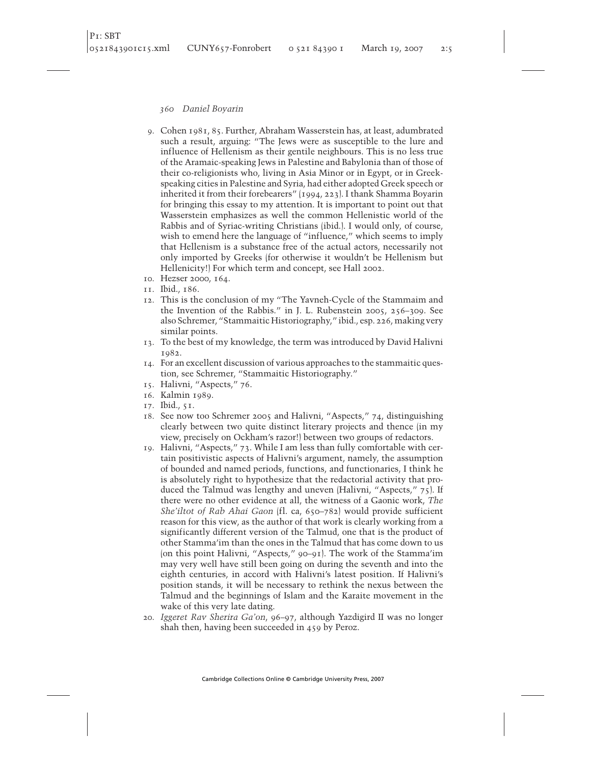- 9. Cohen 1981, 85. Further, Abraham Wasserstein has, at least, adumbrated such a result, arguing: "The Jews were as susceptible to the lure and influence of Hellenism as their gentile neighbours. This is no less true of the Aramaic-speaking Jews in Palestine and Babylonia than of those of their co-religionists who, living in Asia Minor or in Egypt, or in Greekspeaking cities in Palestine and Syria, had either adopted Greek speech or inherited it from their forebearers" (1994, 223). I thank Shamma Boyarin for bringing this essay to my attention. It is important to point out that Wasserstein emphasizes as well the common Hellenistic world of the Rabbis and of Syriac-writing Christians (ibid.). I would only, of course, wish to emend here the language of "influence," which seems to imply that Hellenism is a substance free of the actual actors, necessarily not only imported by Greeks (for otherwise it wouldn't be Hellenism but Hellenicity!) For which term and concept, see Hall 2002.
- 10. Hezser 2000, 164.
- 11. Ibid., 186.
- 12. This is the conclusion of my "The Yavneh-Cycle of the Stammaim and the Invention of the Rabbis." in J. L. Rubenstein 2005, 256–309. See also Schremer, "Stammaitic Historiography," ibid., esp. 226, making very similar points.
- 13. To the best of my knowledge, the term was introduced by David Halivni 1982.
- 14. For an excellent discussion of various approaches to the stammaitic question, see Schremer, "Stammaitic Historiography."
- 15. Halivni, "Aspects," 76.
- 16. Kalmin 1989.
- 17. Ibid., 51.
- 18. See now too Schremer 2005 and Halivni, "Aspects," 74, distinguishing clearly between two quite distinct literary projects and thence (in my view, precisely on Ockham's razor!) between two groups of redactors.
- 19. Halivni, "Aspects," 73. While I am less than fully comfortable with certain positivistic aspects of Halivni's argument, namely, the assumption of bounded and named periods, functions, and functionaries, I think he is absolutely right to hypothesize that the redactorial activity that produced the Talmud was lengthy and uneven (Halivni, "Aspects," 75). If there were no other evidence at all, the witness of a Gaonic work, *The She'iltot of Rab Ahai Gaon* (fl. ca, 650–782) would provide sufficient reason for this view, as the author of that work is clearly working from a significantly different version of the Talmud, one that is the product of other Stamma'im than the ones in the Talmud that has come down to us (on this point Halivni, "Aspects," 90–91). The work of the Stamma'im may very well have still been going on during the seventh and into the eighth centuries, in accord with Halivni's latest position. If Halivni's position stands, it will be necessary to rethink the nexus between the Talmud and the beginnings of Islam and the Karaite movement in the wake of this very late dating.
- 20. *Iggeret Rav Sherira Ga'on*, 96–97, although Yazdigird II was no longer shah then, having been succeeded in 459 by Peroz.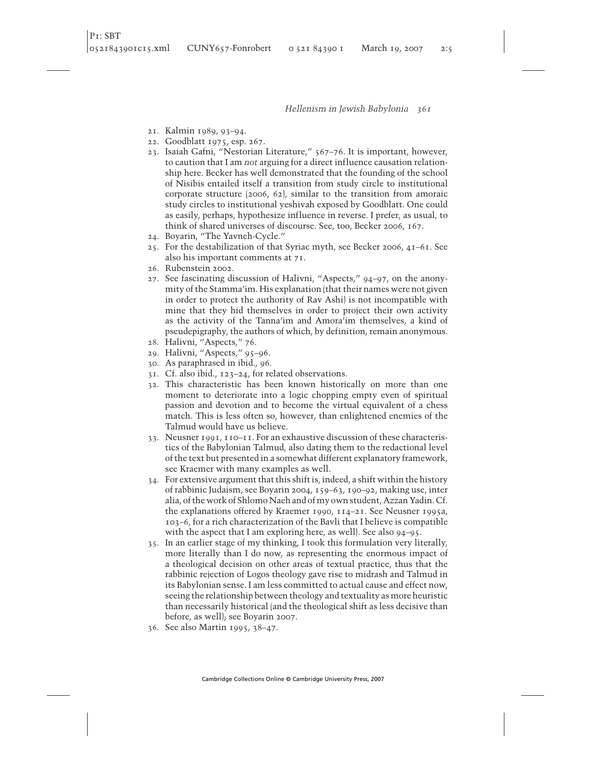- 21. Kalmin 1989, 93–94.
- 22. Goodblatt 1975, esp. 267.
- 23. Isaiah Gafni, "Nestorian Literature," 567–76. It is important, however, to caution that I am *not* arguing for a direct influence causation relationship here. Becker has well demonstrated that the founding of the school of Nisibis entailed itself a transition from study circle to institutional corporate structure (2006, 62), similar to the transition from amoraic study circles to institutional yeshivah exposed by Goodblatt. One could as easily, perhaps, hypothesize influence in reverse. I prefer, as usual, to think of shared universes of discourse. See, too, Becker 2006, 167.
- 24. Boyarin, "The Yavneh-Cycle."
- 25. For the destabilization of that Syriac myth, see Becker 2006, 41–61. See also his important comments at 71.
- 26. Rubenstein 2002.
- 27. See fascinating discussion of Halivni, "Aspects," 94–97, on the anonymity of the Stamma'im. His explanation (that their names were not given in order to protect the authority of Rav Ashi) is not incompatible with mine that they hid themselves in order to project their own activity as the activity of the Tanna'im and Amora'im themselves, a kind of pseudepigraphy, the authors of which, by definition, remain anonymous.
- 28. Halivni, "Aspects," 76.
- 29. Halivni, "Aspects," 95–96.
- 30. As paraphrased in ibid., 96.
- 31. Cf. also ibid., 123–24, for related observations.
- 32. This characteristic has been known historically on more than one moment to deteriorate into a logic chopping empty even of spiritual passion and devotion and to become the virtual equivalent of a chess match. This is less often so, however, than enlightened enemies of the Talmud would have us believe.
- 33. Neusner 1991, 110–11. For an exhaustive discussion of these characteristics of the Babylonian Talmud, also dating them to the redactional level of the text but presented in a somewhat different explanatory framework, see Kraemer with many examples as well.
- 34. For extensive argument that this shift is, indeed, a shift within the history of rabbinic Judaism, see Boyarin 2004, 159–63, 190–92, making use, inter alia, of the work of Shlomo Naeh and of my own student, Azzan Yadin. Cf. the explanations offered by Kraemer 1990, 114–21. See Neusner 1995a, 103–6, for a rich characterization of the Bavli that I believe is compatible with the aspect that I am exploring here, as well). See also 94–95.
- 35. In an earlier stage of my thinking, I took this formulation very literally, more literally than I do now, as representing the enormous impact of a theological decision on other areas of textual practice, thus that the rabbinic rejection of Logos theology gave rise to midrash and Talmud in its Babylonian sense. I am less committed to actual cause and effect now, seeing the relationship between theology and textuality as more heuristic than necessarily historical (and the theological shift as less decisive than before, as well); see Boyarin 2007.
- 36. See also Martin 1995, 38–47.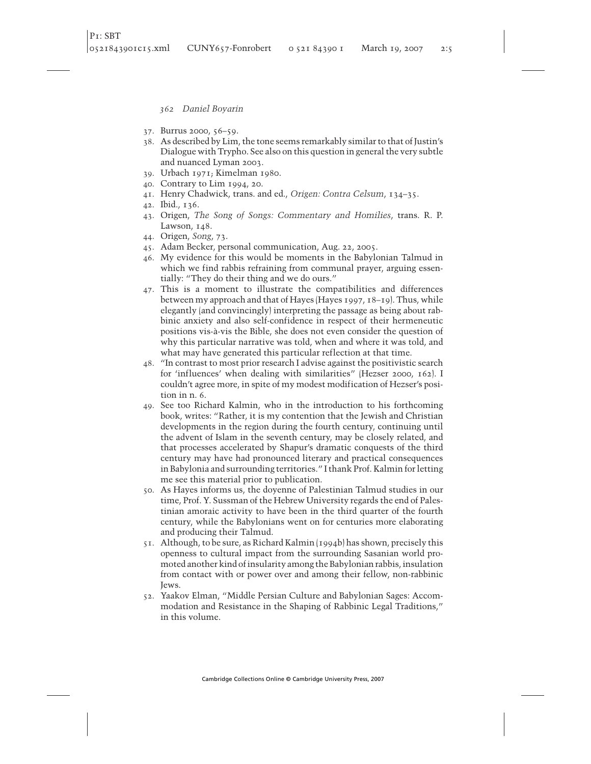- 37. Burrus 2000, 56–59.
- 38. As described by Lim, the tone seems remarkably similar to that of Justin's Dialogue with Trypho. See also on this question in general the very subtle and nuanced Lyman 2003.
- 39. Urbach 1971; Kimelman 1980.
- 40. Contrary to Lim 1994, 20.
- 41. Henry Chadwick, trans. and ed., *Origen: Contra Celsum*, 134–35.
- 42. Ibid., 136.
- 43. Origen, *The Song of Songs: Commentary and Homilies*, trans. R. P. Lawson, 148.
- 44. Origen, *Song*, 73.
- 45. Adam Becker, personal communication, Aug. 22, 2005.
- 46. My evidence for this would be moments in the Babylonian Talmud in which we find rabbis refraining from communal prayer, arguing essentially: "They do their thing and we do ours."
- 47. This is a moment to illustrate the compatibilities and differences between my approach and that of Hayes (Hayes 1997, 18–19). Thus, while elegantly (and convincingly) interpreting the passage as being about rabbinic anxiety and also self-confidence in respect of their hermeneutic positions vis-a-vis the Bible, she does not even consider the question of ` why this particular narrative was told, when and where it was told, and what may have generated this particular reflection at that time.
- 48. "In contrast to most prior research I advise against the positivistic search for 'influences' when dealing with similarities" (Hezser 2000, 162). I couldn't agree more, in spite of my modest modification of Hezser's position in n. 6.
- 49. See too Richard Kalmin, who in the introduction to his forthcoming book, writes: "Rather, it is my contention that the Jewish and Christian developments in the region during the fourth century, continuing until the advent of Islam in the seventh century, may be closely related, and that processes accelerated by Shapur's dramatic conquests of the third century may have had pronounced literary and practical consequences in Babylonia and surrounding territories." I thank Prof. Kalmin for letting me see this material prior to publication.
- 50. As Hayes informs us, the doyenne of Palestinian Talmud studies in our time, Prof. Y. Sussman of the Hebrew University regards the end of Palestinian amoraic activity to have been in the third quarter of the fourth century, while the Babylonians went on for centuries more elaborating and producing their Talmud.
- 51. Although, to be sure, as Richard Kalmin (1994b) has shown, precisely this openness to cultural impact from the surrounding Sasanian world promoted another kind of insularity among the Babylonian rabbis, insulation from contact with or power over and among their fellow, non-rabbinic Jews.
- 52. Yaakov Elman, "Middle Persian Culture and Babylonian Sages: Accommodation and Resistance in the Shaping of Rabbinic Legal Traditions," in this volume.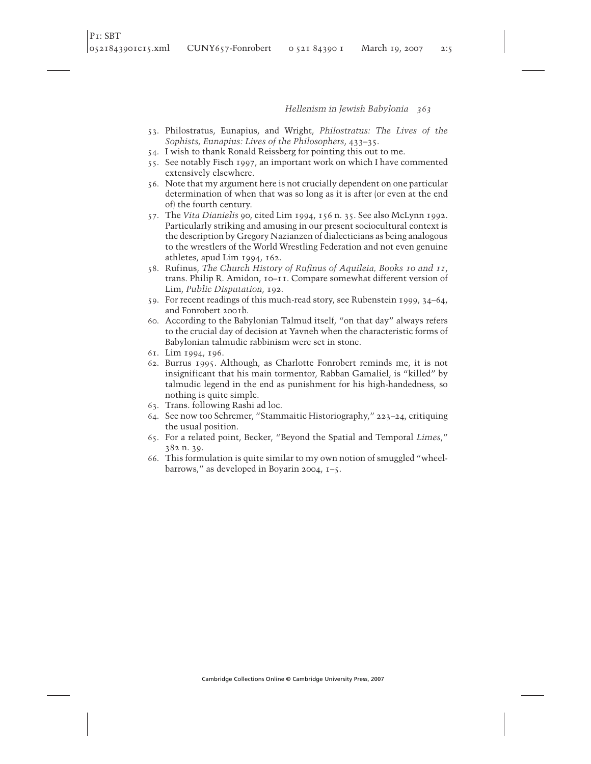- 53. Philostratus, Eunapius, and Wright, *Philostratus: The Lives of the Sophists, Eunapius: Lives of the Philosophers*, 433–35.
- 54. I wish to thank Ronald Reissberg for pointing this out to me.
- 55. See notably Fisch 1997, an important work on which I have commented extensively elsewhere.
- 56. Note that my argument here is not crucially dependent on one particular determination of when that was so long as it is after (or even at the end of) the fourth century.
- 57. The *Vita Dianielis* 90, cited Lim 1994, 156 n. 35. See also McLynn 1992. Particularly striking and amusing in our present sociocultural context is the description by Gregory Nazianzen of dialecticians as being analogous to the wrestlers of the World Wrestling Federation and not even genuine athletes, apud Lim 1994, 162.
- 58. Rufinus, *The Church History of Rufinus of Aquileia, Books 10 and 11*, trans. Philip R. Amidon, 10–11. Compare somewhat different version of Lim, *Public Disputation*, 192.
- 59. For recent readings of this much-read story, see Rubenstein 1999, 34–64, and Fonrobert 2001b.
- 60. According to the Babylonian Talmud itself, "on that day" always refers to the crucial day of decision at Yavneh when the characteristic forms of Babylonian talmudic rabbinism were set in stone.
- 61. Lim 1994, 196.
- 62. Burrus 1995. Although, as Charlotte Fonrobert reminds me, it is not insignificant that his main tormentor, Rabban Gamaliel, is "killed" by talmudic legend in the end as punishment for his high-handedness, so nothing is quite simple.
- 63. Trans. following Rashi ad loc.
- 64. See now too Schremer, "Stammaitic Historiography," 223–24, critiquing the usual position.
- 65. For a related point, Becker, "Beyond the Spatial and Temporal *Limes*," 382 n. 39.
- 66. This formulation is quite similar to my own notion of smuggled "wheelbarrows," as developed in Boyarin 2004, 1–5.